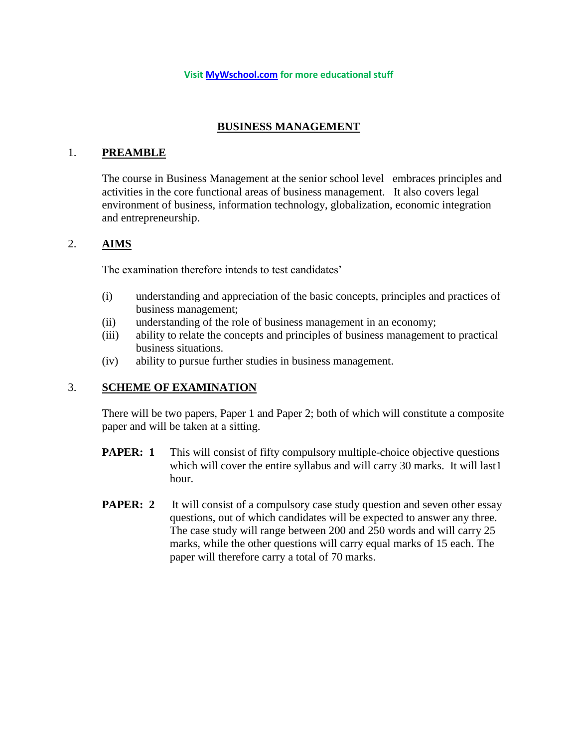#### **Visit [MyWschool.com](https://www.mywschool.com/) for more educational stuff**

## **BUSINESS MANAGEMENT**

### 1. **PREAMBLE**

The course in Business Management at the senior school level embraces principles and activities in the core functional areas of business management. It also covers legal environment of business, information technology, globalization, economic integration and entrepreneurship.

### 2. **AIMS**

The examination therefore intends to test candidates'

- (i) understanding and appreciation of the basic concepts, principles and practices of business management;
- (ii) understanding of the role of business management in an economy;
- (iii) ability to relate the concepts and principles of business management to practical business situations.
- (iv) ability to pursue further studies in business management.

## 3. **SCHEME OF EXAMINATION**

There will be two papers, Paper 1 and Paper 2; both of which will constitute a composite paper and will be taken at a sitting.

- **PAPER:** 1 This will consist of fifty compulsory multiple-choice objective questions which will cover the entire syllabus and will carry 30 marks. It will last1 hour.
- **PAPER: 2** It will consist of a compulsory case study question and seven other essay questions, out of which candidates will be expected to answer any three. The case study will range between 200 and 250 words and will carry 25 marks, while the other questions will carry equal marks of 15 each. The paper will therefore carry a total of 70 marks.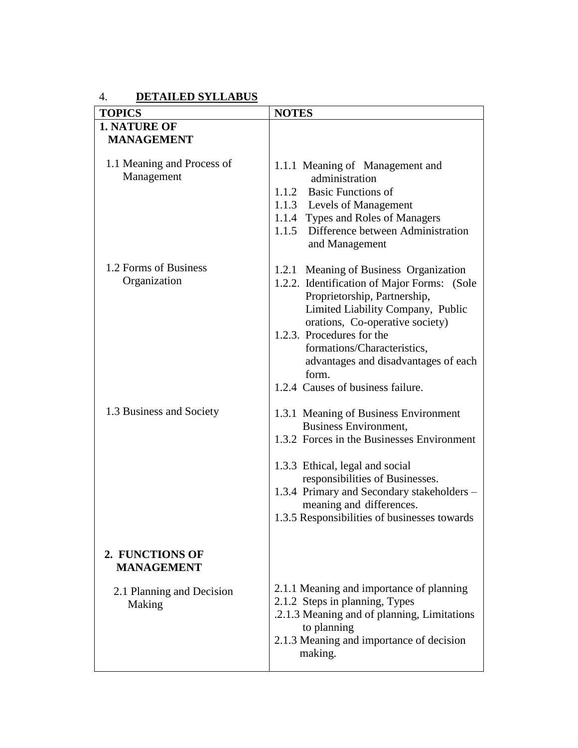# 4. **DETAILED SYLLABUS**

| <b>1. NATURE OF</b><br><b>MANAGEMENT</b><br>1.1 Meaning and Process of<br>1.1.1 Meaning of Management and<br>Management<br>administration<br>1.1.2 Basic Functions of<br>1.1.3 Levels of Management<br>1.1.4 Types and Roles of Managers<br>1.1.5 Difference between Administration<br>and Management<br>1.2 Forms of Business<br>1.2.1 Meaning of Business Organization<br>Organization<br>1.2.2. Identification of Major Forms: (Sole<br>Proprietorship, Partnership,<br>Limited Liability Company, Public<br>orations, Co-operative society)<br>1.2.3. Procedures for the<br>formations/Characteristics,<br>advantages and disadvantages of each<br>form.<br>1.2.4 Causes of business failure.<br>1.3 Business and Society<br>1.3.1 Meaning of Business Environment<br><b>Business Environment,</b><br>1.3.2 Forces in the Businesses Environment<br>1.3.3 Ethical, legal and social<br>responsibilities of Businesses.<br>meaning and differences.<br>2. FUNCTIONS OF<br><b>MANAGEMENT</b><br>2.1.1 Meaning and importance of planning<br>2.1 Planning and Decision<br>2.1.2 Steps in planning, Types<br>Making<br>.2.1.3 Meaning and of planning, Limitations<br>to planning<br>2.1.3 Meaning and importance of decision<br>making. | <b>TOPICS</b> | <b>NOTES</b>                                 |
|------------------------------------------------------------------------------------------------------------------------------------------------------------------------------------------------------------------------------------------------------------------------------------------------------------------------------------------------------------------------------------------------------------------------------------------------------------------------------------------------------------------------------------------------------------------------------------------------------------------------------------------------------------------------------------------------------------------------------------------------------------------------------------------------------------------------------------------------------------------------------------------------------------------------------------------------------------------------------------------------------------------------------------------------------------------------------------------------------------------------------------------------------------------------------------------------------------------------------------------|---------------|----------------------------------------------|
|                                                                                                                                                                                                                                                                                                                                                                                                                                                                                                                                                                                                                                                                                                                                                                                                                                                                                                                                                                                                                                                                                                                                                                                                                                          |               |                                              |
|                                                                                                                                                                                                                                                                                                                                                                                                                                                                                                                                                                                                                                                                                                                                                                                                                                                                                                                                                                                                                                                                                                                                                                                                                                          |               |                                              |
|                                                                                                                                                                                                                                                                                                                                                                                                                                                                                                                                                                                                                                                                                                                                                                                                                                                                                                                                                                                                                                                                                                                                                                                                                                          |               |                                              |
|                                                                                                                                                                                                                                                                                                                                                                                                                                                                                                                                                                                                                                                                                                                                                                                                                                                                                                                                                                                                                                                                                                                                                                                                                                          |               |                                              |
|                                                                                                                                                                                                                                                                                                                                                                                                                                                                                                                                                                                                                                                                                                                                                                                                                                                                                                                                                                                                                                                                                                                                                                                                                                          |               |                                              |
|                                                                                                                                                                                                                                                                                                                                                                                                                                                                                                                                                                                                                                                                                                                                                                                                                                                                                                                                                                                                                                                                                                                                                                                                                                          |               |                                              |
|                                                                                                                                                                                                                                                                                                                                                                                                                                                                                                                                                                                                                                                                                                                                                                                                                                                                                                                                                                                                                                                                                                                                                                                                                                          |               |                                              |
|                                                                                                                                                                                                                                                                                                                                                                                                                                                                                                                                                                                                                                                                                                                                                                                                                                                                                                                                                                                                                                                                                                                                                                                                                                          |               |                                              |
|                                                                                                                                                                                                                                                                                                                                                                                                                                                                                                                                                                                                                                                                                                                                                                                                                                                                                                                                                                                                                                                                                                                                                                                                                                          |               |                                              |
|                                                                                                                                                                                                                                                                                                                                                                                                                                                                                                                                                                                                                                                                                                                                                                                                                                                                                                                                                                                                                                                                                                                                                                                                                                          |               |                                              |
|                                                                                                                                                                                                                                                                                                                                                                                                                                                                                                                                                                                                                                                                                                                                                                                                                                                                                                                                                                                                                                                                                                                                                                                                                                          |               |                                              |
|                                                                                                                                                                                                                                                                                                                                                                                                                                                                                                                                                                                                                                                                                                                                                                                                                                                                                                                                                                                                                                                                                                                                                                                                                                          |               |                                              |
|                                                                                                                                                                                                                                                                                                                                                                                                                                                                                                                                                                                                                                                                                                                                                                                                                                                                                                                                                                                                                                                                                                                                                                                                                                          |               |                                              |
|                                                                                                                                                                                                                                                                                                                                                                                                                                                                                                                                                                                                                                                                                                                                                                                                                                                                                                                                                                                                                                                                                                                                                                                                                                          |               |                                              |
|                                                                                                                                                                                                                                                                                                                                                                                                                                                                                                                                                                                                                                                                                                                                                                                                                                                                                                                                                                                                                                                                                                                                                                                                                                          |               |                                              |
|                                                                                                                                                                                                                                                                                                                                                                                                                                                                                                                                                                                                                                                                                                                                                                                                                                                                                                                                                                                                                                                                                                                                                                                                                                          |               |                                              |
|                                                                                                                                                                                                                                                                                                                                                                                                                                                                                                                                                                                                                                                                                                                                                                                                                                                                                                                                                                                                                                                                                                                                                                                                                                          |               |                                              |
|                                                                                                                                                                                                                                                                                                                                                                                                                                                                                                                                                                                                                                                                                                                                                                                                                                                                                                                                                                                                                                                                                                                                                                                                                                          |               |                                              |
|                                                                                                                                                                                                                                                                                                                                                                                                                                                                                                                                                                                                                                                                                                                                                                                                                                                                                                                                                                                                                                                                                                                                                                                                                                          |               |                                              |
|                                                                                                                                                                                                                                                                                                                                                                                                                                                                                                                                                                                                                                                                                                                                                                                                                                                                                                                                                                                                                                                                                                                                                                                                                                          |               |                                              |
|                                                                                                                                                                                                                                                                                                                                                                                                                                                                                                                                                                                                                                                                                                                                                                                                                                                                                                                                                                                                                                                                                                                                                                                                                                          |               |                                              |
|                                                                                                                                                                                                                                                                                                                                                                                                                                                                                                                                                                                                                                                                                                                                                                                                                                                                                                                                                                                                                                                                                                                                                                                                                                          |               |                                              |
|                                                                                                                                                                                                                                                                                                                                                                                                                                                                                                                                                                                                                                                                                                                                                                                                                                                                                                                                                                                                                                                                                                                                                                                                                                          |               |                                              |
|                                                                                                                                                                                                                                                                                                                                                                                                                                                                                                                                                                                                                                                                                                                                                                                                                                                                                                                                                                                                                                                                                                                                                                                                                                          |               |                                              |
|                                                                                                                                                                                                                                                                                                                                                                                                                                                                                                                                                                                                                                                                                                                                                                                                                                                                                                                                                                                                                                                                                                                                                                                                                                          |               |                                              |
|                                                                                                                                                                                                                                                                                                                                                                                                                                                                                                                                                                                                                                                                                                                                                                                                                                                                                                                                                                                                                                                                                                                                                                                                                                          |               |                                              |
|                                                                                                                                                                                                                                                                                                                                                                                                                                                                                                                                                                                                                                                                                                                                                                                                                                                                                                                                                                                                                                                                                                                                                                                                                                          |               |                                              |
|                                                                                                                                                                                                                                                                                                                                                                                                                                                                                                                                                                                                                                                                                                                                                                                                                                                                                                                                                                                                                                                                                                                                                                                                                                          |               |                                              |
|                                                                                                                                                                                                                                                                                                                                                                                                                                                                                                                                                                                                                                                                                                                                                                                                                                                                                                                                                                                                                                                                                                                                                                                                                                          |               |                                              |
|                                                                                                                                                                                                                                                                                                                                                                                                                                                                                                                                                                                                                                                                                                                                                                                                                                                                                                                                                                                                                                                                                                                                                                                                                                          |               | 1.3.4 Primary and Secondary stakeholders -   |
|                                                                                                                                                                                                                                                                                                                                                                                                                                                                                                                                                                                                                                                                                                                                                                                                                                                                                                                                                                                                                                                                                                                                                                                                                                          |               |                                              |
|                                                                                                                                                                                                                                                                                                                                                                                                                                                                                                                                                                                                                                                                                                                                                                                                                                                                                                                                                                                                                                                                                                                                                                                                                                          |               | 1.3.5 Responsibilities of businesses towards |
|                                                                                                                                                                                                                                                                                                                                                                                                                                                                                                                                                                                                                                                                                                                                                                                                                                                                                                                                                                                                                                                                                                                                                                                                                                          |               |                                              |
|                                                                                                                                                                                                                                                                                                                                                                                                                                                                                                                                                                                                                                                                                                                                                                                                                                                                                                                                                                                                                                                                                                                                                                                                                                          |               |                                              |
|                                                                                                                                                                                                                                                                                                                                                                                                                                                                                                                                                                                                                                                                                                                                                                                                                                                                                                                                                                                                                                                                                                                                                                                                                                          |               |                                              |
|                                                                                                                                                                                                                                                                                                                                                                                                                                                                                                                                                                                                                                                                                                                                                                                                                                                                                                                                                                                                                                                                                                                                                                                                                                          |               |                                              |
|                                                                                                                                                                                                                                                                                                                                                                                                                                                                                                                                                                                                                                                                                                                                                                                                                                                                                                                                                                                                                                                                                                                                                                                                                                          |               |                                              |
|                                                                                                                                                                                                                                                                                                                                                                                                                                                                                                                                                                                                                                                                                                                                                                                                                                                                                                                                                                                                                                                                                                                                                                                                                                          |               |                                              |
|                                                                                                                                                                                                                                                                                                                                                                                                                                                                                                                                                                                                                                                                                                                                                                                                                                                                                                                                                                                                                                                                                                                                                                                                                                          |               |                                              |
|                                                                                                                                                                                                                                                                                                                                                                                                                                                                                                                                                                                                                                                                                                                                                                                                                                                                                                                                                                                                                                                                                                                                                                                                                                          |               |                                              |
|                                                                                                                                                                                                                                                                                                                                                                                                                                                                                                                                                                                                                                                                                                                                                                                                                                                                                                                                                                                                                                                                                                                                                                                                                                          |               |                                              |
|                                                                                                                                                                                                                                                                                                                                                                                                                                                                                                                                                                                                                                                                                                                                                                                                                                                                                                                                                                                                                                                                                                                                                                                                                                          |               |                                              |
|                                                                                                                                                                                                                                                                                                                                                                                                                                                                                                                                                                                                                                                                                                                                                                                                                                                                                                                                                                                                                                                                                                                                                                                                                                          |               |                                              |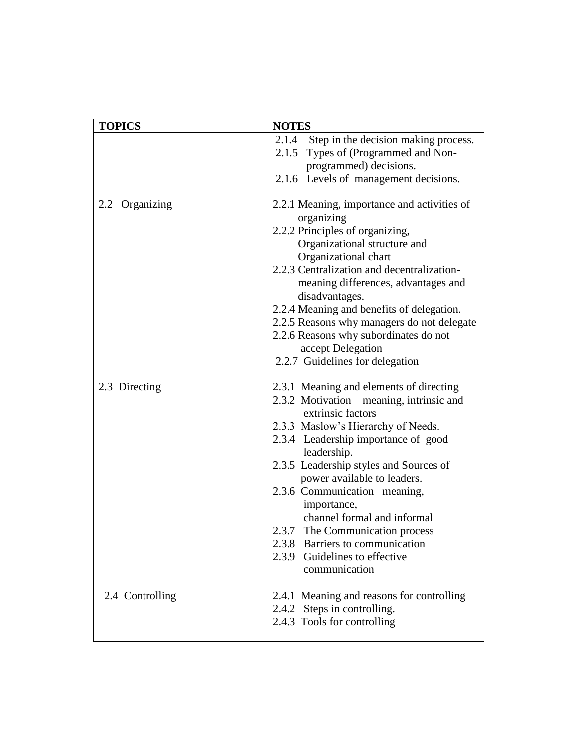| <b>TOPICS</b>   | <b>NOTES</b>                                |
|-----------------|---------------------------------------------|
|                 | 2.1.4 Step in the decision making process.  |
|                 | 2.1.5 Types of (Programmed and Non-         |
|                 | programmed) decisions.                      |
|                 | 2.1.6 Levels of management decisions.       |
|                 |                                             |
| 2.2 Organizing  | 2.2.1 Meaning, importance and activities of |
|                 | organizing                                  |
|                 | 2.2.2 Principles of organizing,             |
|                 | Organizational structure and                |
|                 | Organizational chart                        |
|                 | 2.2.3 Centralization and decentralization-  |
|                 | meaning differences, advantages and         |
|                 | disadvantages.                              |
|                 | 2.2.4 Meaning and benefits of delegation.   |
|                 | 2.2.5 Reasons why managers do not delegate  |
|                 | 2.2.6 Reasons why subordinates do not       |
|                 | accept Delegation                           |
|                 | 2.2.7 Guidelines for delegation             |
|                 |                                             |
| 2.3 Directing   | 2.3.1 Meaning and elements of directing     |
|                 | 2.3.2 Motivation – meaning, intrinsic and   |
|                 | extrinsic factors                           |
|                 | 2.3.3 Maslow's Hierarchy of Needs.          |
|                 | 2.3.4 Leadership importance of good         |
|                 | leadership.                                 |
|                 | 2.3.5 Leadership styles and Sources of      |
|                 | power available to leaders.                 |
|                 | 2.3.6 Communication – meaning,              |
|                 | importance,                                 |
|                 | channel formal and informal                 |
|                 | 2.3.7 The Communication process             |
|                 | 2.3.8 Barriers to communication             |
|                 | 2.3.9 Guidelines to effective               |
|                 | communication                               |
|                 |                                             |
| 2.4 Controlling | 2.4.1 Meaning and reasons for controlling   |
|                 | 2.4.2 Steps in controlling.                 |
|                 | 2.4.3 Tools for controlling                 |
|                 |                                             |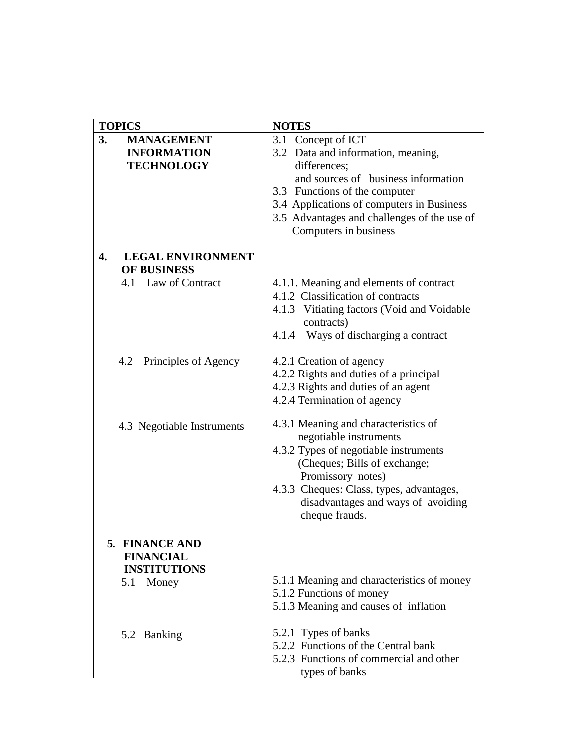| <b>TOPICS</b>                                                           | <b>NOTES</b>                                                                                                                                                                                                                                                                |
|-------------------------------------------------------------------------|-----------------------------------------------------------------------------------------------------------------------------------------------------------------------------------------------------------------------------------------------------------------------------|
| <b>MANAGEMENT</b><br>3.<br><b>INFORMATION</b><br><b>TECHNOLOGY</b>      | Concept of ICT<br>3.1<br>3.2 Data and information, meaning,<br>differences;<br>and sources of business information<br>Functions of the computer<br>3.3<br>3.4 Applications of computers in Business<br>3.5 Advantages and challenges of the use of<br>Computers in business |
| <b>LEGAL ENVIRONMENT</b><br>4.<br>OF BUSINESS<br>Law of Contract<br>4.1 | 4.1.1. Meaning and elements of contract<br>4.1.2 Classification of contracts<br>4.1.3 Vitiating factors (Void and Voidable<br>contracts)<br>4.1.4 Ways of discharging a contract                                                                                            |
| Principles of Agency<br>4.2                                             | 4.2.1 Creation of agency<br>4.2.2 Rights and duties of a principal<br>4.2.3 Rights and duties of an agent<br>4.2.4 Termination of agency                                                                                                                                    |
| 4.3 Negotiable Instruments                                              | 4.3.1 Meaning and characteristics of<br>negotiable instruments<br>4.3.2 Types of negotiable instruments<br>(Cheques; Bills of exchange;<br>Promissory notes)<br>4.3.3 Cheques: Class, types, advantages,<br>disadvantages and ways of avoiding<br>cheque frauds.            |
| 5. FINANCE AND<br><b>FINANCIAL</b><br><b>INSTITUTIONS</b><br>5.1 Money  | 5.1.1 Meaning and characteristics of money                                                                                                                                                                                                                                  |
| 5.2 Banking                                                             | 5.1.2 Functions of money<br>5.1.3 Meaning and causes of inflation<br>5.2.1 Types of banks<br>5.2.2 Functions of the Central bank                                                                                                                                            |
|                                                                         | 5.2.3 Functions of commercial and other<br>types of banks                                                                                                                                                                                                                   |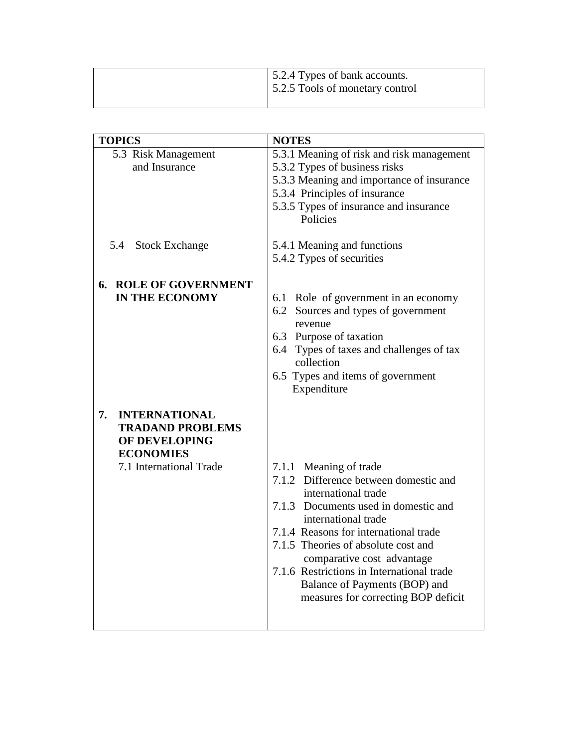|  | 5.2.4 Types of bank accounts.<br>5.2.5 Tools of monetary control |
|--|------------------------------------------------------------------|
|  |                                                                  |

| <b>TOPICS</b>                | <b>NOTES</b>                                       |  |
|------------------------------|----------------------------------------------------|--|
| 5.3 Risk Management          | 5.3.1 Meaning of risk and risk management          |  |
| and Insurance                | 5.3.2 Types of business risks                      |  |
|                              | 5.3.3 Meaning and importance of insurance          |  |
|                              | 5.3.4 Principles of insurance                      |  |
|                              |                                                    |  |
|                              | 5.3.5 Types of insurance and insurance<br>Policies |  |
|                              |                                                    |  |
| 5.4 Stock Exchange           | 5.4.1 Meaning and functions                        |  |
|                              | 5.4.2 Types of securities                          |  |
|                              |                                                    |  |
| <b>6. ROLE OF GOVERNMENT</b> |                                                    |  |
| <b>IN THE ECONOMY</b>        | 6.1 Role of government in an economy               |  |
|                              | 6.2 Sources and types of government                |  |
|                              | revenue                                            |  |
|                              | 6.3 Purpose of taxation                            |  |
|                              | 6.4 Types of taxes and challenges of tax           |  |
|                              | collection                                         |  |
|                              | 6.5 Types and items of government                  |  |
|                              | Expenditure                                        |  |
|                              |                                                    |  |
| 7.<br><b>INTERNATIONAL</b>   |                                                    |  |
| <b>TRADAND PROBLEMS</b>      |                                                    |  |
| OF DEVELOPING                |                                                    |  |
| <b>ECONOMIES</b>             |                                                    |  |
| 7.1 International Trade      | 7.1.1 Meaning of trade                             |  |
|                              | 7.1.2 Difference between domestic and              |  |
|                              | international trade                                |  |
|                              | 7.1.3 Documents used in domestic and               |  |
|                              | international trade                                |  |
|                              | 7.1.4 Reasons for international trade              |  |
|                              | 7.1.5 Theories of absolute cost and                |  |
|                              | comparative cost advantage                         |  |
|                              | 7.1.6 Restrictions in International trade          |  |
|                              | Balance of Payments (BOP) and                      |  |
|                              | measures for correcting BOP deficit                |  |
|                              |                                                    |  |
|                              |                                                    |  |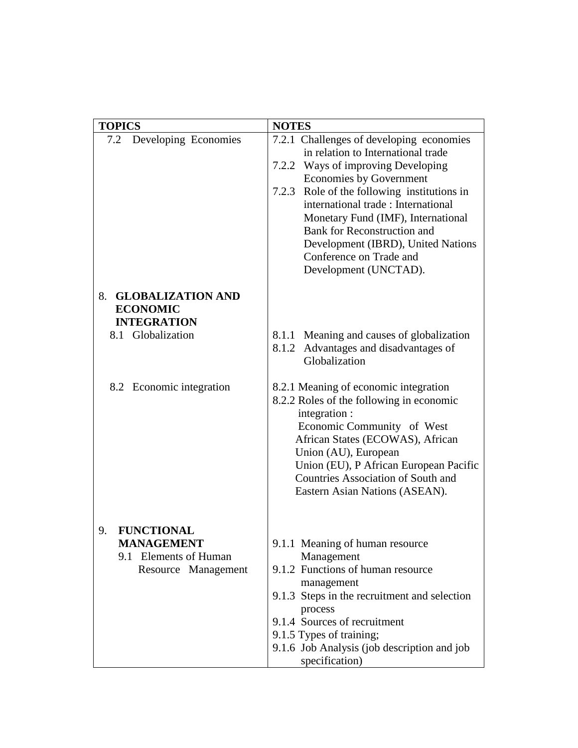| <b>TOPICS</b>                           | <b>NOTES</b>                                   |  |  |
|-----------------------------------------|------------------------------------------------|--|--|
|                                         |                                                |  |  |
| Developing Economies<br>7.2             | 7.2.1 Challenges of developing economies       |  |  |
|                                         | in relation to International trade             |  |  |
|                                         | 7.2.2 Ways of improving Developing             |  |  |
|                                         | <b>Economies by Government</b>                 |  |  |
|                                         | Role of the following institutions in<br>7.2.3 |  |  |
|                                         | international trade: International             |  |  |
|                                         | Monetary Fund (IMF), International             |  |  |
|                                         | <b>Bank for Reconstruction and</b>             |  |  |
|                                         | Development (IBRD), United Nations             |  |  |
|                                         | Conference on Trade and                        |  |  |
|                                         | Development (UNCTAD).                          |  |  |
|                                         |                                                |  |  |
| 8. GLOBALIZATION AND<br><b>ECONOMIC</b> |                                                |  |  |
| <b>INTEGRATION</b>                      |                                                |  |  |
| 8.1 Globalization                       | Meaning and causes of globalization<br>8.1.1   |  |  |
|                                         | Advantages and disadvantages of<br>8.1.2       |  |  |
|                                         | Globalization                                  |  |  |
|                                         |                                                |  |  |
| 8.2 Economic integration                | 8.2.1 Meaning of economic integration          |  |  |
|                                         | 8.2.2 Roles of the following in economic       |  |  |
|                                         | integration :                                  |  |  |
|                                         | Economic Community of West                     |  |  |
|                                         | African States (ECOWAS), African               |  |  |
|                                         | Union (AU), European                           |  |  |
|                                         | Union (EU), P African European Pacific         |  |  |
|                                         | <b>Countries Association of South and</b>      |  |  |
|                                         | Eastern Asian Nations (ASEAN).                 |  |  |
|                                         |                                                |  |  |
|                                         |                                                |  |  |
| <b>FUNCTIONAL</b><br>9.                 |                                                |  |  |
| <b>MANAGEMENT</b>                       | 9.1.1 Meaning of human resource                |  |  |
| 9.1 Elements of Human                   | Management                                     |  |  |
| Resource Management                     | 9.1.2 Functions of human resource              |  |  |
|                                         | management                                     |  |  |
|                                         | 9.1.3 Steps in the recruitment and selection   |  |  |
|                                         | process                                        |  |  |
|                                         | 9.1.4 Sources of recruitment                   |  |  |
|                                         | 9.1.5 Types of training;                       |  |  |
|                                         | 9.1.6 Job Analysis (job description and job    |  |  |
|                                         | specification)                                 |  |  |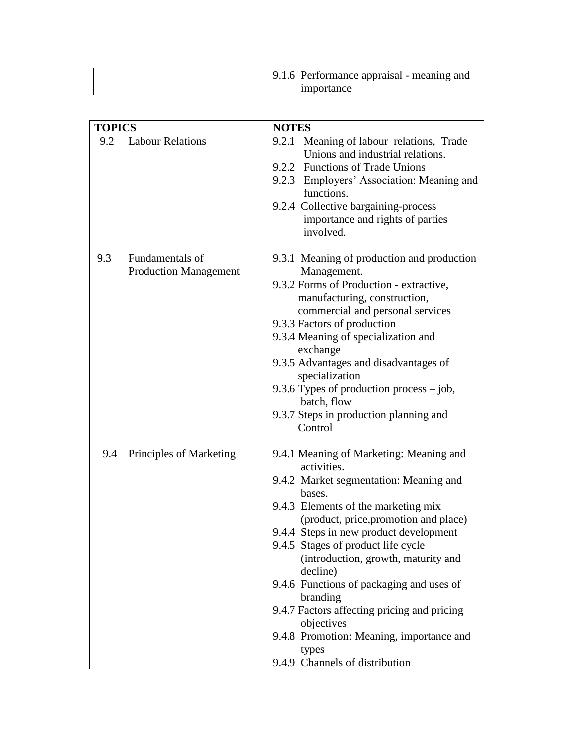| 9.1.6 Performance appraisal - meaning and |  |
|-------------------------------------------|--|
| importance                                |  |

| <b>TOPICS</b> |                                                 | <b>NOTES</b>                                                                                                                                                                                                                                                                                                                                                                                                                         |
|---------------|-------------------------------------------------|--------------------------------------------------------------------------------------------------------------------------------------------------------------------------------------------------------------------------------------------------------------------------------------------------------------------------------------------------------------------------------------------------------------------------------------|
| 9.2           | <b>Labour Relations</b>                         | 9.2.1 Meaning of labour relations, Trade<br>Unions and industrial relations.<br>9.2.2 Functions of Trade Unions<br>9.2.3 Employers' Association: Meaning and<br>functions.<br>9.2.4 Collective bargaining-process<br>importance and rights of parties                                                                                                                                                                                |
| 9.3           | Fundamentals of<br><b>Production Management</b> | involved.<br>9.3.1 Meaning of production and production<br>Management.<br>9.3.2 Forms of Production - extractive,<br>manufacturing, construction,<br>commercial and personal services<br>9.3.3 Factors of production<br>9.3.4 Meaning of specialization and                                                                                                                                                                          |
|               |                                                 | exchange<br>9.3.5 Advantages and disadvantages of<br>specialization<br>9.3.6 Types of production process $-$ job,<br>batch, flow<br>9.3.7 Steps in production planning and<br>Control                                                                                                                                                                                                                                                |
| 9.4           | Principles of Marketing                         | 9.4.1 Meaning of Marketing: Meaning and<br>activities.<br>9.4.2 Market segmentation: Meaning and<br>bases.<br>9.4.3 Elements of the marketing mix<br>(product, price, promotion and place)<br>9.4.4 Steps in new product development<br>9.4.5 Stages of product life cycle<br>(introduction, growth, maturity and<br>decline)<br>9.4.6 Functions of packaging and uses of<br>branding<br>9.4.7 Factors affecting pricing and pricing |
|               |                                                 | objectives<br>9.4.8 Promotion: Meaning, importance and<br>types<br>9.4.9 Channels of distribution                                                                                                                                                                                                                                                                                                                                    |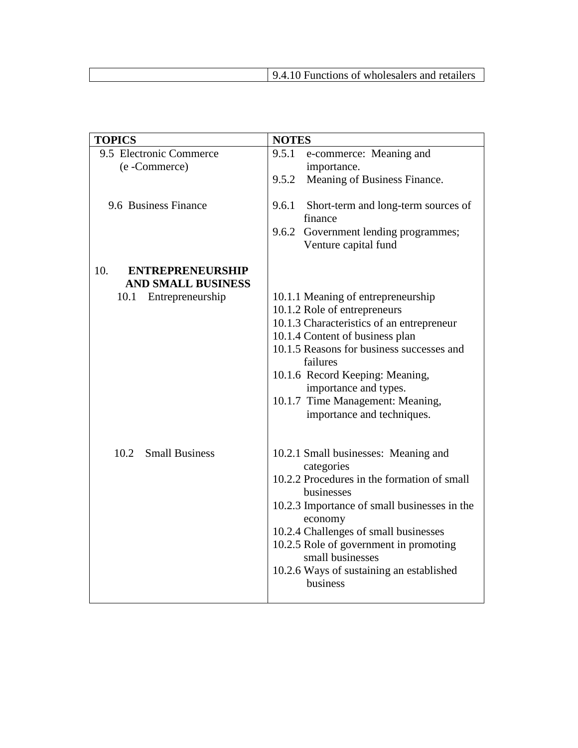| <b>TOPICS</b>                  | <b>NOTES</b>                                                                                                                                                                                                                                                                                                                              |  |  |
|--------------------------------|-------------------------------------------------------------------------------------------------------------------------------------------------------------------------------------------------------------------------------------------------------------------------------------------------------------------------------------------|--|--|
| 9.5 Electronic Commerce        | 9.5.1<br>e-commerce: Meaning and                                                                                                                                                                                                                                                                                                          |  |  |
| (e-Commerce)                   | importance.                                                                                                                                                                                                                                                                                                                               |  |  |
|                                | 9.5.2<br>Meaning of Business Finance.                                                                                                                                                                                                                                                                                                     |  |  |
| 9.6 Business Finance           | 9.6.1<br>Short-term and long-term sources of<br>finance<br>9.6.2<br>Government lending programmes;<br>Venture capital fund                                                                                                                                                                                                                |  |  |
| 10.<br><b>ENTREPRENEURSHIP</b> |                                                                                                                                                                                                                                                                                                                                           |  |  |
| <b>AND SMALL BUSINESS</b>      |                                                                                                                                                                                                                                                                                                                                           |  |  |
| Entrepreneurship<br>10.1       | 10.1.1 Meaning of entrepreneurship<br>10.1.2 Role of entrepreneurs<br>10.1.3 Characteristics of an entrepreneur<br>10.1.4 Content of business plan<br>10.1.5 Reasons for business successes and<br>failures<br>10.1.6 Record Keeping: Meaning,<br>importance and types.<br>10.1.7 Time Management: Meaning,<br>importance and techniques. |  |  |
| 10.2<br><b>Small Business</b>  | 10.2.1 Small businesses: Meaning and<br>categories<br>10.2.2 Procedures in the formation of small<br>businesses<br>10.2.3 Importance of small businesses in the<br>economy<br>10.2.4 Challenges of small businesses<br>10.2.5 Role of government in promoting<br>small businesses<br>10.2.6 Ways of sustaining an established<br>business |  |  |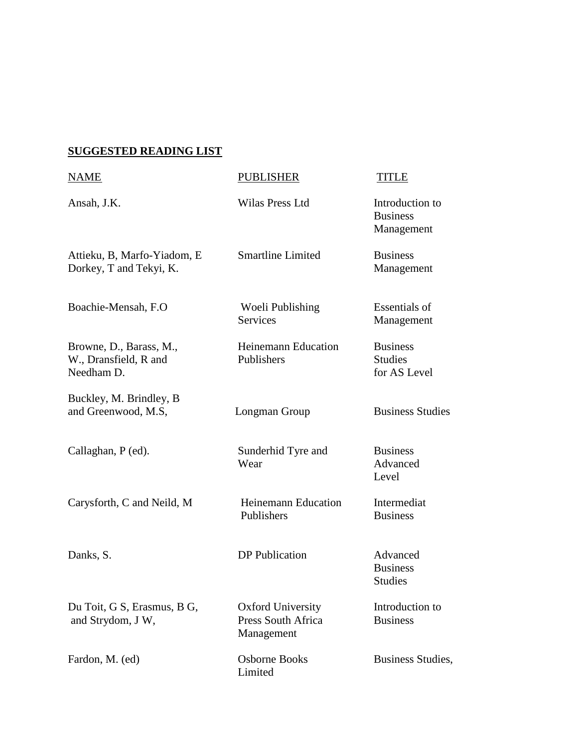# **SUGGESTED READING LIST**

| NAME                                                           | <b>PUBLISHER</b>                                             | TITLE                                             |
|----------------------------------------------------------------|--------------------------------------------------------------|---------------------------------------------------|
| Ansah, J.K.                                                    | Wilas Press Ltd                                              | Introduction to<br><b>Business</b><br>Management  |
| Attieku, B, Marfo-Yiadom, E<br>Dorkey, T and Tekyi, K.         | <b>Smartline Limited</b>                                     | <b>Business</b><br>Management                     |
| Boachie-Mensah, F.O.                                           | Woeli Publishing<br><b>Services</b>                          | <b>Essentials of</b><br>Management                |
| Browne, D., Barass, M.,<br>W., Dransfield, R and<br>Needham D. | <b>Heinemann Education</b><br>Publishers                     | <b>Business</b><br><b>Studies</b><br>for AS Level |
| Buckley, M. Brindley, B<br>and Greenwood, M.S.                 | Longman Group                                                | <b>Business Studies</b>                           |
| Callaghan, P (ed).                                             | Sunderhid Tyre and<br>Wear                                   | <b>Business</b><br>Advanced<br>Level              |
| Carysforth, C and Neild, M                                     | <b>Heinemann Education</b><br>Publishers                     | Intermediat<br><b>Business</b>                    |
| Danks, S.                                                      | <b>DP</b> Publication                                        | Advanced<br><b>Business</b><br><b>Studies</b>     |
| Du Toit, G S, Erasmus, B G,<br>and Strydom, J W,               | <b>Oxford University</b><br>Press South Africa<br>Management | Introduction to<br><b>Business</b>                |
| Fardon, M. (ed)                                                | Osborne Books<br>Limited                                     | Business Studies,                                 |